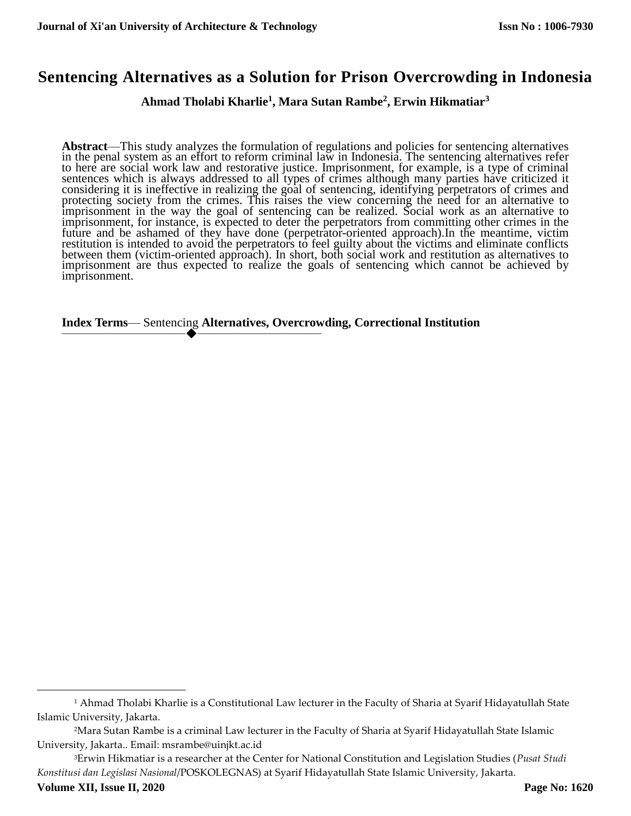# **Sentencing Alternatives as a Solution for Prison Overcrowding in Indonesia**

# **Ahmad Tholabi Kharlie<sup>1</sup> , Mara Sutan Rambe<sup>2</sup> , Erwin Hikmatiar<sup>3</sup>**

**Abstract**—This study analyzes the formulation of regulations and policies for sentencing alternatives in the penal system as an effort to reform criminal law in Indonesia. The sentencing alternatives refer to here are social work law and restorative justice. Imprisonment, for example, is a type of criminal sentences which is always addressed to all types of crimes although many parties have criticized it considering it is ineffective in realizing the goal of sentencing, identifying perpetrators of crimes and protecting society from the crimes. This raises the view concerning the need for an alternative to imprisonment in the way the goal of sentencing can be realized. Social work as an alternative to imprisonment, for instance, is expected to deter the perpetrators from committing other crimes in the future and be ashamed of they have done (perpetrator-oriented approach).In the meantime, victim restitution is intended to avoid the perpetrators to feel guilty about the victims and eliminate conflicts between them (victim-oriented approach). In short, both social work and restitution as alternatives to imprisonment are thus expected to realize the goals of sentencing which cannot be achieved by imprisonment.

#### **Index Terms**— Sentencing **Alternatives, Overcrowding, Correctional Institution**  $\bullet$  ————————————————————

 $\overline{\phantom{a}}$ 

<sup>1</sup> Ahmad Tholabi Kharlie is a Constitutional Law lecturer in the Faculty of Sharia at Syarif Hidayatullah State Islamic University, Jakarta.

<sup>2</sup>Mara Sutan Rambe is a criminal Law lecturer in the Faculty of Sharia at Syarif Hidayatullah State Islamic University, Jakarta.. Email: msrambe@uinjkt.ac.id

<sup>3</sup>Erwin Hikmatiar is a researcher at the Center for National Constitution and Legislation Studies (*Pusat Studi Konstitusi dan Legislasi Nasional*/POSKOLEGNAS) at Syarif Hidayatullah State Islamic University, Jakarta.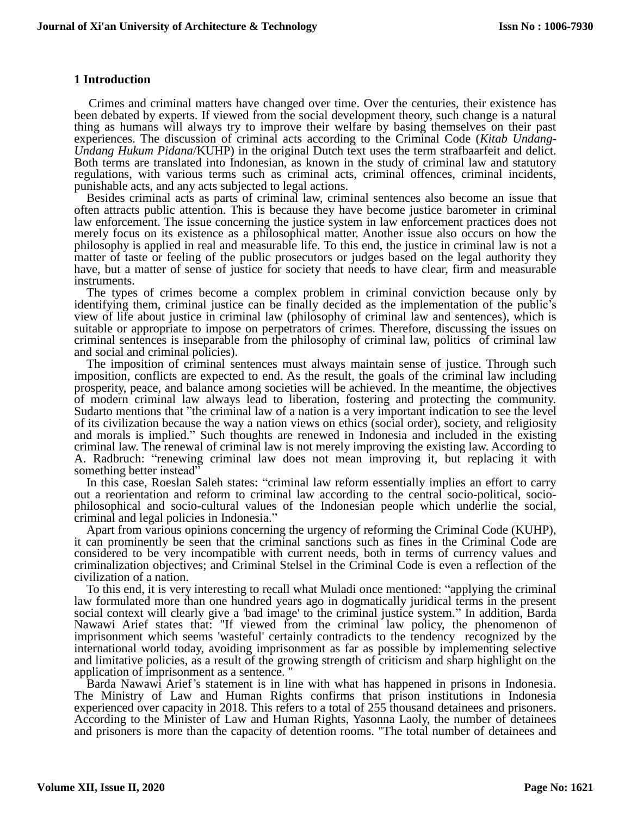## **1 Introduction**

Crimes and criminal matters have changed over time. Over the centuries, their existence has been debated by experts. If viewed from the social development theory, such change is a natural thing as humans will always try to improve their welfare by basing themselves on their past experiences. The discussion of criminal acts according to the Criminal Code (*Kitab Undang-Undang Hukum Pidana*/KUHP) in the original Dutch text uses the term strafbaarfeit and delict. Both terms are translated into Indonesian, as known in the study of criminal law and statutory regulations, with various terms such as criminal acts, criminal offences, criminal incidents, punishable acts, and any acts subjected to legal actions.

Besides criminal acts as parts of criminal law, criminal sentences also become an issue that often attracts public attention. This is because they have become justice barometer in criminal law enforcement. The issue concerning the justice system in law enforcement practices does not merely focus on its existence as a philosophical matter. Another issue also occurs on how the philosophy is applied in real and measurable life. To this end, the justice in criminal law is not a matter of taste or feeling of the public prosecutors or judges based on the legal authority they have, but a matter of sense of justice for society that needs to have clear, firm and measurable instruments.

The types of crimes become a complex problem in criminal conviction because only by identifying them, criminal justice can be finally decided as the implementation of the public's view of life about justice in criminal law (philosophy of criminal law and sentences), which is suitable or appropriate to impose on perpetrators of crimes. Therefore, discussing the issues on criminal sentences is inseparable from the philosophy of criminal law, politics of criminal law and social and criminal policies).

The imposition of criminal sentences must always maintain sense of justice. Through such imposition, conflicts are expected to end. As the result, the goals of the criminal law including prosperity, peace, and balance among societies will be achieved. In the meantime, the objectives of modern criminal law always lead to liberation, fostering and protecting the community. Sudarto mentions that "the criminal law of a nation is a very important indication to see the level of its civilization because the way a nation views on ethics (social order), society, and religiosity and morals is implied." Such thoughts are renewed in Indonesia and included in the existing criminal law. The renewal of criminal law is not merely improving the existing law. According to A. Radbruch: "renewing criminal law does not mean improving it, but replacing it with something better instead<sup>57</sup>

In this case, Roeslan Saleh states: "criminal law reform essentially implies an effort to carry out a reorientation and reform to criminal law according to the central socio-political, sociophilosophical and socio-cultural values of the Indonesian people which underlie the social, criminal and legal policies in Indonesia."

Apart from various opinions concerning the urgency of reforming the Criminal Code (KUHP), it can prominently be seen that the criminal sanctions such as fines in the Criminal Code are considered to be very incompatible with current needs, both in terms of currency values and criminalization objectives; and Criminal Stelsel in the Criminal Code is even a reflection of the civilization of a nation.

To this end, it is very interesting to recall what Muladi once mentioned: "applying the criminal law formulated more than one hundred years ago in dogmatically juridical terms in the present social context will clearly give a 'bad image' to the criminal justice system." In addition, Barda Nawawi Arief states that: "If viewed from the criminal law policy, the phenomenon of imprisonment which seems 'wasteful' certainly contradicts to the tendency recognized by the international world today, avoiding imprisonment as far as possible by implementing selective and limitative policies, as a result of the growing strength of criticism and sharp highlight on the application of imprisonment as a sentence. "

Barda Nawawi Arief's statement is in line with what has happened in prisons in Indonesia. The Ministry of Law and Human Rights confirms that prison institutions in Indonesia experienced over capacity in 2018. This refers to a total of 255 thousand detainees and prisoners. According to the Minister of Law and Human Rights, Yasonna Laoly, the number of detainees and prisoners is more than the capacity of detention rooms. "The total number of detainees and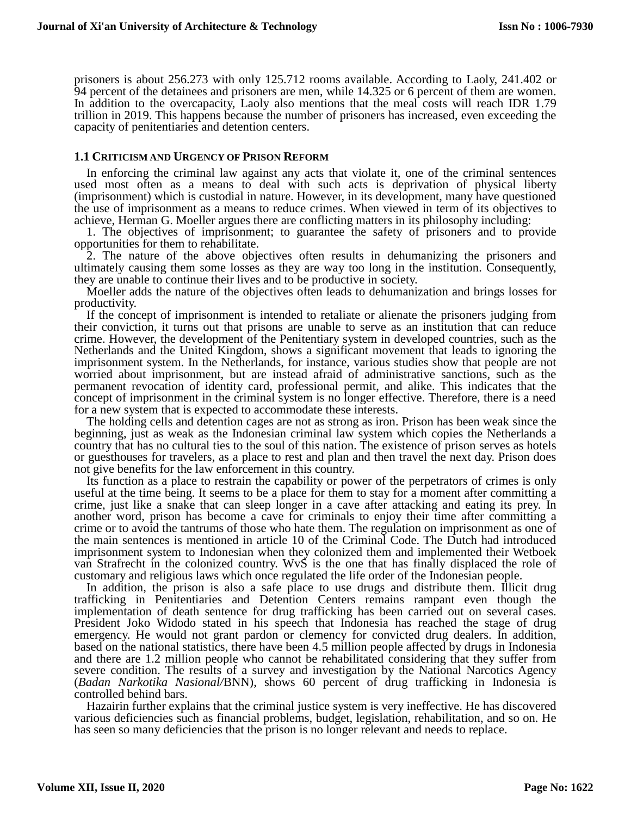prisoners is about 256.273 with only 125.712 rooms available. According to Laoly, 241.402 or 94 percent of the detainees and prisoners are men, while 14.325 or 6 percent of them are women. In addition to the overcapacity, Laoly also mentions that the meal costs will reach IDR 1.79 trillion in 2019. This happens because the number of prisoners has increased, even exceeding the capacity of penitentiaries and detention centers.

#### **1.1 CRITICISM AND URGENCY OF PRISON REFORM**

In enforcing the criminal law against any acts that violate it, one of the criminal sentences used most often as a means to deal with such acts is deprivation of physical liberty (imprisonment) which is custodial in nature. However, in its development, many have questioned the use of imprisonment as a means to reduce crimes. When viewed in term of its objectives to achieve, Herman G. Moeller argues there are conflicting matters in its philosophy including:

1. The objectives of imprisonment; to guarantee the safety of prisoners and to provide opportunities for them to rehabilitate.

2. The nature of the above objectives often results in dehumanizing the prisoners and ultimately causing them some losses as they are way too long in the institution. Consequently, they are unable to continue their lives and to be productive in society.

Moeller adds the nature of the objectives often leads to dehumanization and brings losses for productivity.

If the concept of imprisonment is intended to retaliate or alienate the prisoners judging from their conviction, it turns out that prisons are unable to serve as an institution that can reduce crime. However, the development of the Penitentiary system in developed countries, such as the Netherlands and the United Kingdom, shows a significant movement that leads to ignoring the imprisonment system. In the Netherlands, for instance, various studies show that people are not worried about imprisonment, but are instead afraid of administrative sanctions, such as the permanent revocation of identity card, professional permit, and alike. This indicates that the concept of imprisonment in the criminal system is no longer effective. Therefore, there is a need for a new system that is expected to accommodate these interests.

The holding cells and detention cages are not as strong as iron. Prison has been weak since the beginning, just as weak as the Indonesian criminal law system which copies the Netherlands a country that has no cultural ties to the soul of this nation. The existence of prison serves as hotels or guesthouses for travelers, as a place to rest and plan and then travel the next day. Prison does not give benefits for the law enforcement in this country.

Its function as a place to restrain the capability or power of the perpetrators of crimes is only useful at the time being. It seems to be a place for them to stay for a moment after committing a crime, just like a snake that can sleep longer in a cave after attacking and eating its prey. In another word, prison has become a cave for criminals to enjoy their time after committing a crime or to avoid the tantrums of those who hate them. The regulation on imprisonment as one of the main sentences is mentioned in article 10 of the Criminal Code. The Dutch had introduced imprisonment system to Indonesian when they colonized them and implemented their Wetboek van Strafrecht in the colonized country. WvS is the one that has finally displaced the role of customary and religious laws which once regulated the life order of the Indonesian people.

In addition, the prison is also a safe place to use drugs and distribute them. Illicit drug trafficking in Penitentiaries and Detention Centers remains rampant even though the implementation of death sentence for drug trafficking has been carried out on several cases. President Joko Widodo stated in his speech that Indonesia has reached the stage of drug emergency. He would not grant pardon or clemency for convicted drug dealers. In addition, based on the national statistics, there have been 4.5 million people affected by drugs in Indonesia and there are 1.2 million people who cannot be rehabilitated considering that they suffer from severe condition. The results of a survey and investigation by the National Narcotics Agency (*Badan Narkotika Nasional/*BNN), shows 60 percent of drug trafficking in Indonesia is controlled behind bars.

Hazairin further explains that the criminal justice system is very ineffective. He has discovered various deficiencies such as financial problems, budget, legislation, rehabilitation, and so on. He has seen so many deficiencies that the prison is no longer relevant and needs to replace.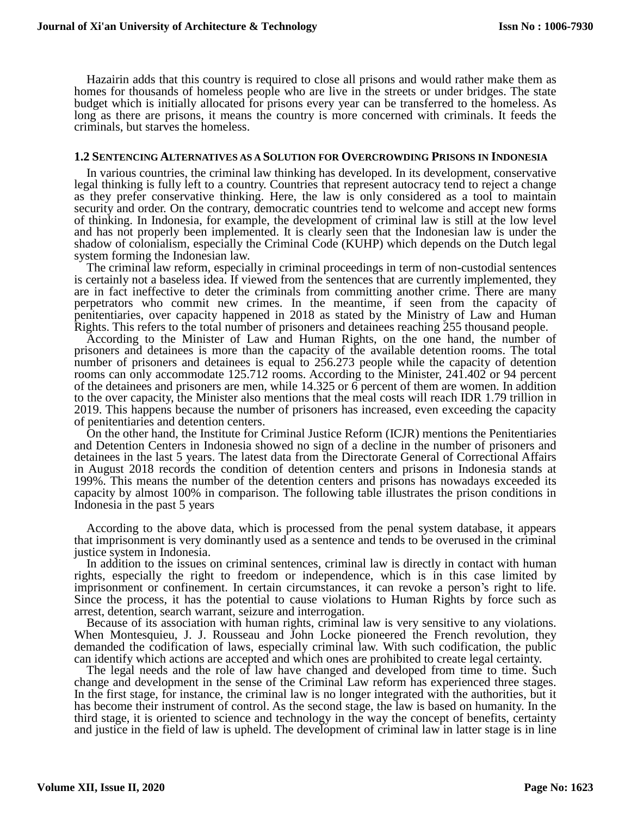Hazairin adds that this country is required to close all prisons and would rather make them as homes for thousands of homeless people who are live in the streets or under bridges. The state budget which is initially allocated for prisons every year can be transferred to the homeless. As long as there are prisons, it means the country is more concerned with criminals. It feeds the criminals, but starves the homeless.

#### **1.2 SENTENCING ALTERNATIVES AS A SOLUTION FOR OVERCROWDING PRISONS IN INDONESIA**

In various countries, the criminal law thinking has developed. In its development, conservative legal thinking is fully left to a country. Countries that represent autocracy tend to reject a change as they prefer conservative thinking. Here, the law is only considered as a tool to maintain security and order. On the contrary, democratic countries tend to welcome and accept new forms of thinking. In Indonesia, for example, the development of criminal law is still at the low level and has not properly been implemented. It is clearly seen that the Indonesian law is under the shadow of colonialism, especially the Criminal Code (KUHP) which depends on the Dutch legal system forming the Indonesian law.

The criminal law reform, especially in criminal proceedings in term of non-custodial sentences is certainly not a baseless idea. If viewed from the sentences that are currently implemented, they are in fact ineffective to deter the criminals from committing another crime. There are many perpetrators who commit new crimes. In the meantime, if seen from the capacity of penitentiaries, over capacity happened in 2018 as stated by the Ministry of Law and Human Rights. This refers to the total number of prisoners and detainees reaching 255 thousand people.

According to the Minister of Law and Human Rights, on the one hand, the number of prisoners and detainees is more than the capacity of the available detention rooms. The total number of prisoners and detainees is equal to 256.273 people while the capacity of detention rooms can only accommodate 125.712 rooms. According to the Minister, 241.402 or 94 percent of the detainees and prisoners are men, while 14.325 or 6 percent of them are women. In addition to the over capacity, the Minister also mentions that the meal costs will reach IDR 1.79 trillion in 2019. This happens because the number of prisoners has increased, even exceeding the capacity of penitentiaries and detention centers.

On the other hand, the Institute for Criminal Justice Reform (ICJR) mentions the Penitentiaries and Detention Centers in Indonesia showed no sign of a decline in the number of prisoners and detainees in the last 5 years. The latest data from the Directorate General of Correctional Affairs in August 2018 records the condition of detention centers and prisons in Indonesia stands at 199%. This means the number of the detention centers and prisons has nowadays exceeded its capacity by almost 100% in comparison. The following table illustrates the prison conditions in Indonesia in the past 5 years

According to the above data, which is processed from the penal system database, it appears that imprisonment is very dominantly used as a sentence and tends to be overused in the criminal justice system in Indonesia.

In addition to the issues on criminal sentences, criminal law is directly in contact with human rights, especially the right to freedom or independence, which is in this case limited by imprisonment or confinement. In certain circumstances, it can revoke a person's right to life. Since the process, it has the potential to cause violations to Human Rights by force such as arrest, detention, search warrant, seizure and interrogation.

Because of its association with human rights, criminal law is very sensitive to any violations. When Montesquieu, J. J. Rousseau and John Locke pioneered the French revolution, they demanded the codification of laws, especially criminal law. With such codification, the public can identify which actions are accepted and which ones are prohibited to create legal certainty.

The legal needs and the role of law have changed and developed from time to time. Such change and development in the sense of the Criminal Law reform has experienced three stages. In the first stage, for instance, the criminal law is no longer integrated with the authorities, but it has become their instrument of control. As the second stage, the law is based on humanity. In the third stage, it is oriented to science and technology in the way the concept of benefits, certainty and justice in the field of law is upheld. The development of criminal law in latter stage is in line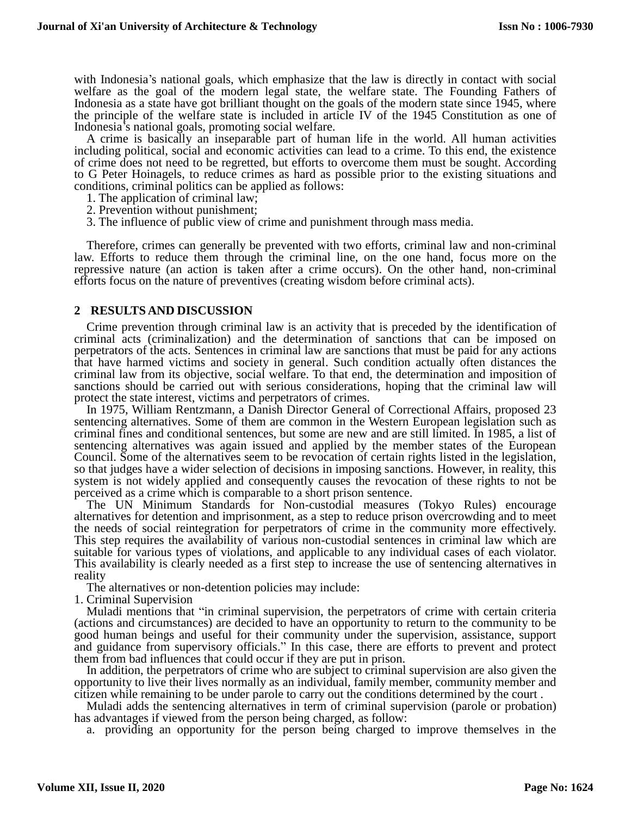with Indonesia's national goals, which emphasize that the law is directly in contact with social welfare as the goal of the modern legal state, the welfare state. The Founding Fathers of Indonesia as a state have got brilliant thought on the goals of the modern state since 1945, where the principle of the welfare state is included in article IV of the 1945 Constitution as one of Indonesia's national goals, promoting social welfare.

A crime is basically an inseparable part of human life in the world. All human activities including political, social and economic activities can lead to a crime. To this end, the existence of crime does not need to be regretted, but efforts to overcome them must be sought. According to G Peter Hoinagels, to reduce crimes as hard as possible prior to the existing situations and conditions, criminal politics can be applied as follows:

- 1. The application of criminal law;
- 2. Prevention without punishment;
- 3. The influence of public view of crime and punishment through mass media.

Therefore, crimes can generally be prevented with two efforts, criminal law and non-criminal law. Efforts to reduce them through the criminal line, on the one hand, focus more on the repressive nature (an action is taken after a crime occurs). On the other hand, non-criminal efforts focus on the nature of preventives (creating wisdom before criminal acts).

#### **2 RESULTS AND DISCUSSION**

Crime prevention through criminal law is an activity that is preceded by the identification of criminal acts (criminalization) and the determination of sanctions that can be imposed on perpetrators of the acts. Sentences in criminal law are sanctions that must be paid for any actions that have harmed victims and society in general. Such condition actually often distances the criminal law from its objective, social welfare. To that end, the determination and imposition of sanctions should be carried out with serious considerations, hoping that the criminal law will protect the state interest, victims and perpetrators of crimes.

In 1975, William Rentzmann, a Danish Director General of Correctional Affairs, proposed 23 sentencing alternatives. Some of them are common in the Western European legislation such as criminal fines and conditional sentences, but some are new and are still limited. In 1985, a list of sentencing alternatives was again issued and applied by the member states of the European Council. Some of the alternatives seem to be revocation of certain rights listed in the legislation, so that judges have a wider selection of decisions in imposing sanctions. However, in reality, this system is not widely applied and consequently causes the revocation of these rights to not be perceived as a crime which is comparable to a short prison sentence.

The UN Minimum Standards for Non-custodial measures (Tokyo Rules) encourage alternatives for detention and imprisonment, as a step to reduce prison overcrowding and to meet the needs of social reintegration for perpetrators of crime in the community more effectively. This step requires the availability of various non-custodial sentences in criminal law which are suitable for various types of violations, and applicable to any individual cases of each violator. This availability is clearly needed as a first step to increase the use of sentencing alternatives in reality

The alternatives or non-detention policies may include:

1. Criminal Supervision

Muladi mentions that "in criminal supervision, the perpetrators of crime with certain criteria (actions and circumstances) are decided to have an opportunity to return to the community to be good human beings and useful for their community under the supervision, assistance, support and guidance from supervisory officials." In this case, there are efforts to prevent and protect them from bad influences that could occur if they are put in prison.

In addition, the perpetrators of crime who are subject to criminal supervision are also given the opportunity to live their lives normally as an individual, family member, community member and citizen while remaining to be under parole to carry out the conditions determined by the court .

Muladi adds the sentencing alternatives in term of criminal supervision (parole or probation) has advantages if viewed from the person being charged, as follow:

a. providing an opportunity for the person being charged to improve themselves in the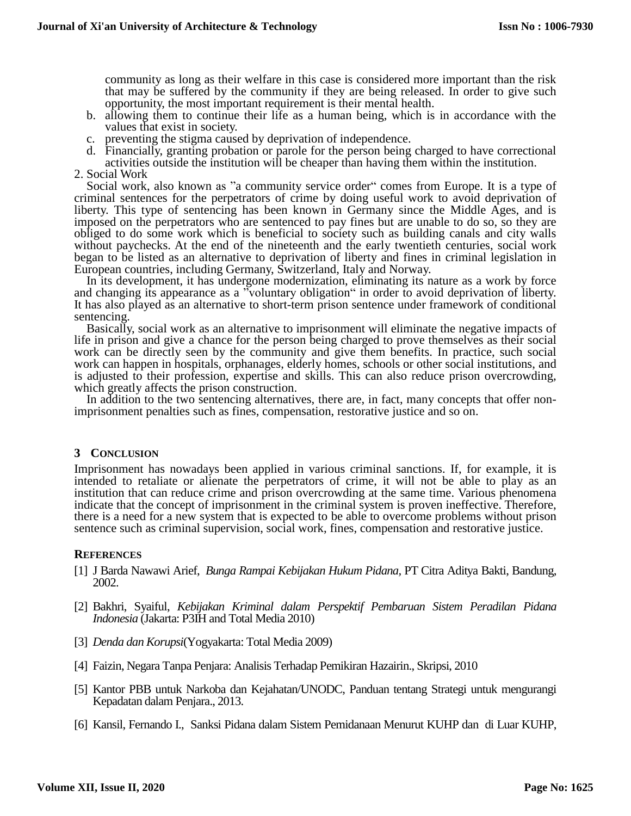community as long as their welfare in this case is considered more important than the risk that may be suffered by the community if they are being released. In order to give such opportunity, the most important requirement is their mental health.

- b. allowing them to continue their life as a human being, which is in accordance with the values that exist in society.
- c. preventing the stigma caused by deprivation of independence.
- d. Financially, granting probation or parole for the person being charged to have correctional activities outside the institution will be cheaper than having them within the institution.
- 2. Social Work

Social work, also known as "a community service order" comes from Europe. It is a type of criminal sentences for the perpetrators of crime by doing useful work to avoid deprivation of liberty. This type of sentencing has been known in Germany since the Middle Ages, and is imposed on the perpetrators who are sentenced to pay fines but are unable to do so, so they are obliged to do some work which is beneficial to society such as building canals and city walls without paychecks. At the end of the nineteenth and the early twentieth centuries, social work began to be listed as an alternative to deprivation of liberty and fines in criminal legislation in European countries, including Germany, Switzerland, Italy and Norway.

In its development, it has undergone modernization, eliminating its nature as a work by force and changing its appearance as a "voluntary obligation" in order to avoid deprivation of liberty. It has also played as an alternative to short-term prison sentence under framework of conditional sentencing.

Basically, social work as an alternative to imprisonment will eliminate the negative impacts of life in prison and give a chance for the person being charged to prove themselves as their social work can be directly seen by the community and give them benefits. In practice, such social work can happen in hospitals, orphanages, elderly homes, schools or other social institutions, and is adjusted to their profession, expertise and skills. This can also reduce prison overcrowding, which greatly affects the prison construction.

In addition to the two sentencing alternatives, there are, in fact, many concepts that offer nonimprisonment penalties such as fines, compensation, restorative justice and so on.

## **3 CONCLUSION**

Imprisonment has nowadays been applied in various criminal sanctions. If, for example, it is intended to retaliate or alienate the perpetrators of crime, it will not be able to play as an institution that can reduce crime and prison overcrowding at the same time. Various phenomena indicate that the concept of imprisonment in the criminal system is proven ineffective. Therefore, there is a need for a new system that is expected to be able to overcome problems without prison sentence such as criminal supervision, social work, fines, compensation and restorative justice.

## **REFERENCES**

- [1] J Barda Nawawi Arief, *Bunga Rampai Kebijakan Hukum Pidana,* PT Citra Aditya Bakti, Bandung, 2002.
- [2] Bakhri, Syaiful, *Kebijakan Kriminal dalam Perspektif Pembaruan Sistem Peradilan Pidana Indonesia* (Jakarta: P3IH and Total Media 2010)
- [3] *Denda dan Korupsi*(Yogyakarta: Total Media 2009)
- [4] Faizin, Negara Tanpa Penjara: Analisis Terhadap Pemikiran Hazairin., Skripsi, 2010
- [5] Kantor PBB untuk Narkoba dan Kejahatan/UNODC, Panduan tentang Strategi untuk mengurangi Kepadatan dalam Penjara., 2013.
- [6] Kansil, Fernando I., Sanksi Pidana dalam Sistem Pemidanaan Menurut KUHP dan di Luar KUHP,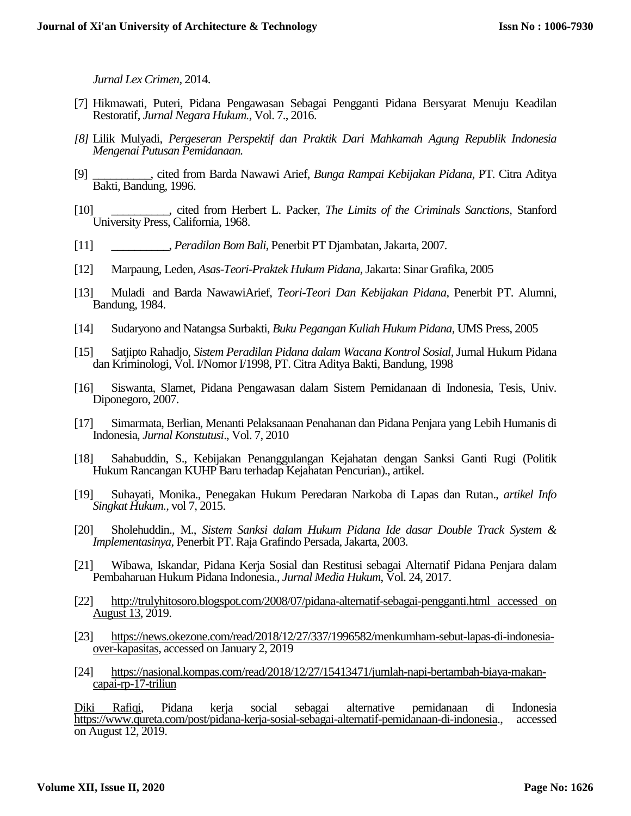*Jurnal Lex Crimen*, 2014.

- [7] Hikmawati, Puteri, Pidana Pengawasan Sebagai Pengganti Pidana Bersyarat Menuju Keadilan Restoratif, *Jurnal Negara Hukum.,* Vol. 7., 2016.
- *[8]* Lilik Mulyadi, *Pergeseran Perspektif dan Praktik Dari Mahkamah Agung Republik Indonesia Mengenai Putusan Pemidanaan.*
- [9] \_\_\_\_\_\_\_\_\_\_, cited from Barda Nawawi Arief, *Bunga Rampai Kebijakan Pidana,* PT. Citra Aditya Bakti, Bandung, 1996.
- [10] \_\_\_\_\_\_\_\_\_\_, cited from Herbert L. Packer, *The Limits of the Criminals Sanctions,* Stanford University Press, California, 1968.
- [11] \_\_\_\_\_\_\_\_\_\_, *Peradilan Bom Bali*, Penerbit PT Djambatan, Jakarta, 2007*.*
- [12] Marpaung, Leden, *Asas-Teori-Praktek Hukum Pidana,* Jakarta: Sinar Grafika, 2005
- [13] Muladi and Barda NawawiArief, *Teori-Teori Dan Kebijakan Pidana*, Penerbit PT. Alumni, Bandung, 1984.
- [14] Sudaryono and Natangsa Surbakti, *Buku Pegangan Kuliah Hukum Pidana,* UMS Press, 2005
- [15] Satjipto Rahadjo, *Sistem Peradilan Pidana dalam Wacana Kontrol Sosial,* Jurnal Hukum Pidana dan Kriminologi, Vol. I/Nomor I/1998, PT. Citra Aditya Bakti, Bandung, 1998
- [16] Siswanta, Slamet, Pidana Pengawasan dalam Sistem Pemidanaan di Indonesia, Tesis, Univ. Diponegoro, 2007.
- [17] Simarmata, Berlian, Menanti Pelaksanaan Penahanan dan Pidana Penjara yang Lebih Humanis di Indonesia, *Jurnal Konstutusi*., Vol. 7, 2010
- [18] Sahabuddin, S., Kebijakan Penanggulangan Kejahatan dengan Sanksi Ganti Rugi (Politik Hukum Rancangan KUHP Baru terhadap Kejahatan Pencurian)., artikel.
- [19] Suhayati, Monika., Penegakan Hukum Peredaran Narkoba di Lapas dan Rutan., *artikel Info Singkat Hukum.,* vol 7, 2015.
- [20] Sholehuddin., M., *Sistem Sanksi dalam Hukum Pidana Ide dasar Double Track System & Implementasinya*, Penerbit PT. Raja Grafindo Persada, Jakarta, 2003.
- [21] Wibawa, Iskandar, Pidana Kerja Sosial dan Restitusi sebagai Alternatif Pidana Penjara dalam Pembaharuan Hukum Pidana Indonesia., *Jurnal Media Hukum*, Vol. 24, 2017.
- [22] [http://trulyhitosoro.blogspot.com/2008/07/pidana-alternatif-sebagai-pengganti.html accessed on](http://trulyhitosoro.blogspot.com/2008/07/pidana-alternatif-sebagai-pengganti.html%20accessed%20on%20August%2013)  [August](http://trulyhitosoro.blogspot.com/2008/07/pidana-alternatif-sebagai-pengganti.html%20accessed%20on%20August%2013) 13, 2019.
- [23] [https://news.okezone.com/read/2018/12/27/337/1996582/menkumham-sebut-lapas-di-indonesia](https://news.okezone.com/read/2018/12/27/337/1996582/menkumham-sebut-lapas-di-indonesia-over-kapasitas)[over-kapasitas,](https://news.okezone.com/read/2018/12/27/337/1996582/menkumham-sebut-lapas-di-indonesia-over-kapasitas) accessed on January 2, 2019
- [24] [https://nasional.kompas.com/read/2018/12/27/15413471/jumlah-napi-bertambah-biaya-makan](https://nasional.kompas.com/read/2018/12/27/15413471/jumlah-napi-bertambah-biaya-makan-capai-rp-17-triliun)[capai-rp-17-triliun](https://nasional.kompas.com/read/2018/12/27/15413471/jumlah-napi-bertambah-biaya-makan-capai-rp-17-triliun)

[Diki Rafiqi,](https://www.qureta.com/profile/Diki) Pidana kerja social sebagai alternative pemidanaan di Indonesia [https://www.qureta.com/post/pidana-kerja-sosial-sebagai-alternatif-pemidanaan-di-indonesia.](https://www.qureta.com/post/pidana-kerja-sosial-sebagai-alternatif-pemidanaan-di-indonesia), accessed on August 12, 2019.